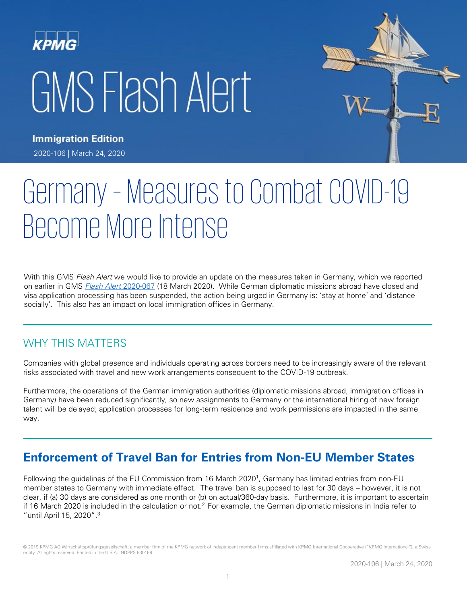# KPMC GMS Flash Alert



**Immigration Edition** 2020-106 | March 24, 2020

# Germany – Measures to Combat COVID-19 Become More Intense

With this GMS Flash Alert we would like to provide an update on the measures taken in Germany, which we reported on earlier in GMS [Flash Alert](https://home.kpmg/xx/en/home/insights/2020/03/flash-alert-2020-067.html) 2020-067 (18 March 2020). While German diplomatic missions abroad have closed and visa application processing has been suspended, the action being urged in Germany is: 'stay at home' and 'distance socially'. This also has an impact on local immigration offices in Germany.

#### WHY THIS MATTERS

Companies with global presence and individuals operating across borders need to be increasingly aware of the relevant risks associated with travel and new work arrangements consequent to the COVID-19 outbreak.

Furthermore, the operations of the German immigration authorities (diplomatic missions abroad, immigration offices in Germany) have been reduced significantly, so new assignments to Germany or the international hiring of new foreign talent will be delayed; application processes for long-term residence and work permissions are impacted in the same way.

# **Enforcement of Travel Ban for Entries from Non-EU Member States**

Following the guidelines of the EU Commission from 16 March 2020<sup>1</sup>, Germany has limited entries from non-EU member states to Germany with immediate effect. The travel ban is supposed to last for 30 days – however, it is not clear, if (a) 30 days are considered as one month or (b) on actual/360-day basis. Furthermore, it is important to ascertain if 16 March 2020 is included in the calculation or not.<sup>2</sup> For example, the German diplomatic missions in India refer to "until April 15, 2020".3

© 2019 KPMG AG Wirtschaftsprüfungsgesellschaft, a member firm of the KPMG network of independent member firms affiliated with KPMG International Cooperative ("KPMG International"), a Swiss entity. All rights reserved. Printed in the U.S.A.. NDPPS 530159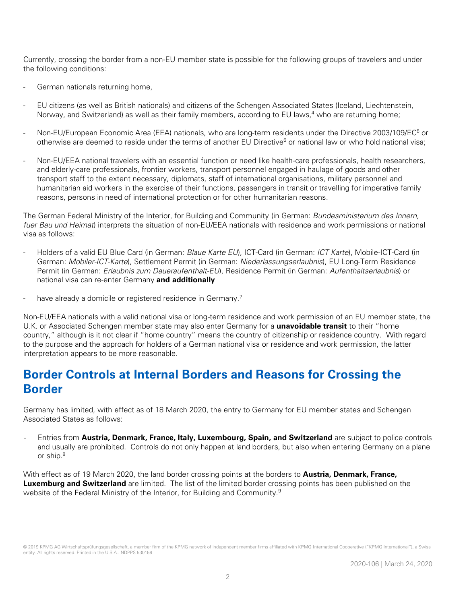Currently, crossing the border from a non-EU member state is possible for the following groups of travelers and under the following conditions:

- German nationals returning home,
- EU citizens (as well as British nationals) and citizens of the Schengen Associated States (Iceland, Liechtenstein, Norway, and Switzerland) as well as their family members, according to EU laws,<sup>4</sup> who are returning home;
- Non-EU/European Economic Area (EEA) nationals, who are long-term residents under the Directive 2003/109/EC<sup>5</sup> or otherwise are deemed to reside under the terms of another EU Directive<sup>6</sup> or national law or who hold national visa;
- Non-EU/EEA national travelers with an essential function or need like health-care professionals, health researchers, and elderly-care professionals, frontier workers, transport personnel engaged in haulage of goods and other transport staff to the extent necessary, diplomats, staff of international organisations, military personnel and humanitarian aid workers in the exercise of their functions, passengers in transit or travelling for imperative family reasons, persons in need of international protection or for other humanitarian reasons.

The German Federal Ministry of the Interior, for Building and Community (in German: Bundesministerium des Innern, fuer Bau und Heimat) interprets the situation of non-EU/EEA nationals with residence and work permissions or national visa as follows:

- Holders of a valid EU Blue Card (in German: Blaue Karte EU), ICT-Card (in German: ICT Karte), Mobile-ICT-Card (in German: Mobiler-ICT-Karte), Settlement Permit (in German: Niederlassungserlaubnis), EU Long-Term Residence Permit (in German: Erlaubnis zum Daueraufenthalt-EU), Residence Permit (in German: Aufenthaltserlaubnis) or national visa can re-enter Germany **and additionally**
- have already a domicile or registered residence in Germany.<sup>7</sup>

Non-EU/EEA nationals with a valid national visa or long-term residence and work permission of an EU member state, the U.K. or Associated Schengen member state may also enter Germany for a **unavoidable transit** to their "home country," although is it not clear if "home country" means the country of citizenship or residence country. With regard to the purpose and the approach for holders of a German national visa or residence and work permission, the latter interpretation appears to be more reasonable.

### **Border Controls at Internal Borders and Reasons for Crossing the Border**

Germany has limited, with effect as of 18 March 2020, the entry to Germany for EU member states and Schengen Associated States as follows:

- Entries from **Austria, Denmark, France, Italy, Luxembourg, Spain, and Switzerland** are subject to police controls and usually are prohibited. Controls do not only happen at land borders, but also when entering Germany on a plane or ship.<sup>8</sup>

With effect as of 19 March 2020, the land border crossing points at the borders to **Austria, Denmark, France, Luxemburg and Switzerland** are limited. The list of the limited border crossing points has been published on the website of the Federal Ministry of the Interior, for Building and Community.<sup>9</sup>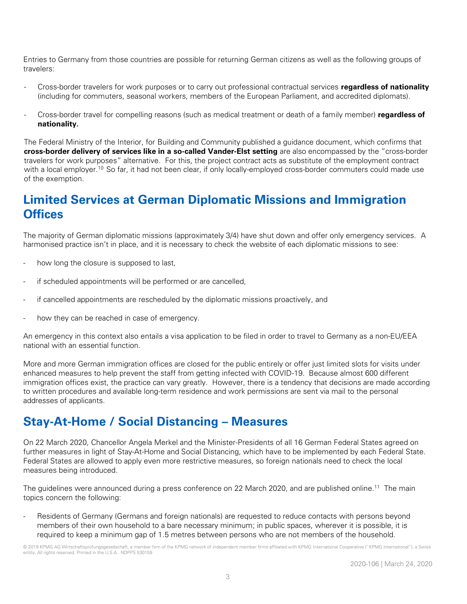Entries to Germany from those countries are possible for returning German citizens as well as the following groups of travelers:

- Cross-border travelers for work purposes or to carry out professional contractual services **regardless of nationality** (including for commuters, seasonal workers, members of the European Parliament, and accredited diplomats).
- Cross-border travel for compelling reasons (such as medical treatment or death of a family member) **regardless of nationality.**

The Federal Ministry of the Interior, for Building and Community published a guidance document, which confirms that **cross-border delivery of services like in a so-called Vander-Elst setting** are also encompassed by the "cross-border travelers for work purposes" alternative. For this, the project contract acts as substitute of the employment contract with a local employer.<sup>10</sup> So far, it had not been clear, if only locally-employed cross-border commuters could made use of the exemption.

# **Limited Services at German Diplomatic Missions and Immigration Offices**

The majority of German diplomatic missions (approximately 3/4) have shut down and offer only emergency services. A harmonised practice isn't in place, and it is necessary to check the website of each diplomatic missions to see:

- how long the closure is supposed to last,
- if scheduled appointments will be performed or are cancelled,
- if cancelled appointments are rescheduled by the diplomatic missions proactively, and
- how they can be reached in case of emergency.

An emergency in this context also entails a visa application to be filed in order to travel to Germany as a non-EU/EEA national with an essential function.

More and more German immigration offices are closed for the public entirely or offer just limited slots for visits under enhanced measures to help prevent the staff from getting infected with COVID-19. Because almost 600 different immigration offices exist, the practice can vary greatly. However, there is a tendency that decisions are made according to written procedures and available long-term residence and work permissions are sent via mail to the personal addresses of applicants.

# **Stay-At-Home / Social Distancing – Measures**

On 22 March 2020, Chancellor Angela Merkel and the Minister-Presidents of all 16 German Federal States agreed on further measures in light of Stay-At-Home and Social Distancing, which have to be implemented by each Federal State. Federal States are allowed to apply even more restrictive measures, so foreign nationals need to check the local measures being introduced.

The guidelines were announced during a press conference on 22 March 2020, and are published online.<sup>11</sup> The main topics concern the following:

Residents of Germany (Germans and foreign nationals) are requested to reduce contacts with persons beyond members of their own household to a bare necessary minimum; in public spaces, wherever it is possible, it is required to keep a minimum gap of 1.5 metres between persons who are not members of the household.

<sup>© 2019</sup> KPMG AG Wirtschaftsprüfungsgesellschaft, a member firm of the KPMG network of independent member firms affiliated with KPMG International Cooperative ("KPMG International"), a Swiss entity. All rights reserved. Printed in the U.S.A.. NDPPS 530159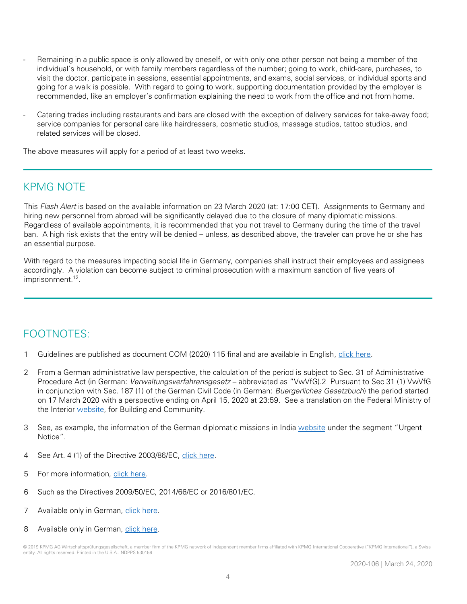- Remaining in a public space is only allowed by oneself, or with only one other person not being a member of the individual's household, or with family members regardless of the number; going to work, child-care, purchases, to visit the doctor, participate in sessions, essential appointments, and exams, social services, or individual sports and going for a walk is possible. With regard to going to work, supporting documentation provided by the employer is recommended, like an employer's confirmation explaining the need to work from the office and not from home.
- Catering trades including restaurants and bars are closed with the exception of delivery services for take-away food; service companies for personal care like hairdressers, cosmetic studios, massage studios, tattoo studios, and related services will be closed.

The above measures will apply for a period of at least two weeks.

#### KPMG NOTE

This Flash Alert is based on the available information on 23 March 2020 (at: 17:00 CET). Assignments to Germany and hiring new personnel from abroad will be significantly delayed due to the closure of many diplomatic missions. Regardless of available appointments, it is recommended that you not travel to Germany during the time of the travel ban. A high risk exists that the entry will be denied – unless, as described above, the traveler can prove he or she has an essential purpose.

With regard to the measures impacting social life in Germany, companies shall instruct their employees and assignees accordingly. A violation can become subject to criminal prosecution with a maximum sanction of five years of imprisonment.<sup>12</sup>.

#### FOOTNOTES:

- 1 Guidelines are published as document COM (2020) 115 final and are available in English, [click here.](https://ec.europa.eu/transparency/regdoc/rep/1/2020/EN/COM-2020-115-F1-EN-MAIN-PART-1.PDF)
- 2 From a German administrative law perspective, the calculation of the period is subject to Sec. 31 of Administrative Procedure Act (in German: Verwaltungsverfahrensgesetz – abbreviated as "VwVfG).2 Pursuant to Sec 31 (1) VwVfG in conjunction with Sec. 187 (1) of the German Civil Code (in German: Buergerliches Gesetzbuch) the period started on 17 March 2020 with a perspective ending on April 15, 2020 at 23:59. See a translation on the Federal Ministry of the Interior [website,](https://www.bmi.bund.de/SharedDocs/downloads/EN/gesetztestexte/VwVfg_en.pdf?__blob=publicationFile&v=1) for Building and Community.
- 3 See, as example, the information of the German diplomatic missions in India [website](https://india.diplo.de/in-en) under the segment "Urgent Notice".
- 4 See Art. 4 (1) of the Directive 2003/86/EC, [click here.](https://eur-lex.europa.eu/legal-content/EN/TXT/HTML/?uri=CELEX:32003L0086&from=DE)
- 5 For more information, [click here.](https://eur-lex.europa.eu/legal-content/en/ALL/?uri=CELEX%3A32003L0109)
- 6 Such as the Directives 2009/50/EC, 2014/66/EC or 2016/801/EC.
- 7 Available only in German, [click here.](https://www.bmi.bund.de/SharedDocs/kurzmeldungen/DE/2020/03/corona-ein-und-ausreise.html)
- 8 Available only in German, [click here.](https://www.bmi.bund.de/SharedDocs/pressemitteilungen/DE/2020/03/corona-grenzkontrollen-see-luft.html)

<sup>© 2019</sup> KPMG AG Wirtschaftsprüfungsgesellschaft, a member firm of the KPMG network of independent member firms affiliated with KPMG International Cooperative ("KPMG International"), a Swiss entity. All rights reserved. Printed in the U.S.A.. NDPPS 530159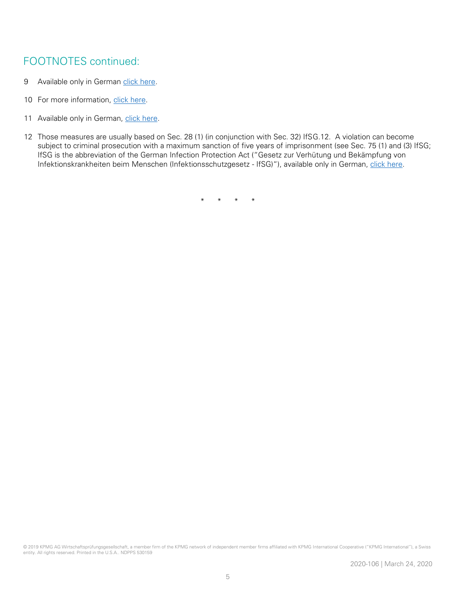#### FOOTNOTES continued:

- 9 Available only in German [click here.](https://www.bmi.bund.de/SharedDocs/downloads/DE/veroeffentlichungen/2020/liste-grenzuebergangsstellen.pdf?__blob=publicationFile&v=7)
- 10 For more information, [click here.](https://www.bmi.bund.de/SharedDocs/downloads/EN/news/guidance-border-control.pdf?__blob=publicationFile&v=2)
- 11 Available only in German, [click here.](https://www.bundesregierung.de/breg-de/themen/coronavirus/-dieser-gemeinsinn-wird-uns-durch-die-schwere-zeit-tragen--1733288)
- 12 Those measures are usually based on Sec. 28 (1) (in conjunction with Sec. 32) IfSG.12. A violation can become subject to criminal prosecution with a maximum sanction of five years of imprisonment (see Sec. 75 (1) and (3) IfSG; IfSG is the abbreviation of the German Infection Protection Act ("Gesetz zur Verhütung und Bekämpfung von Infektionskrankheiten beim Menschen (Infektionsschutzgesetz - IfSG)"), available only in German, [click here.](https://www.gesetze-im-internet.de/ifsg/inhalts_bersicht.html)

\* \* \* \*

© 2019 KPMG AG Wirtschaftsprüfungsgesellschaft, a member firm of the KPMG network of independent member firms affiliated with KPMG International Cooperative ("KPMG International"), a Swiss entity. All rights reserved. Printed in the U.S.A.. NDPPS 530159